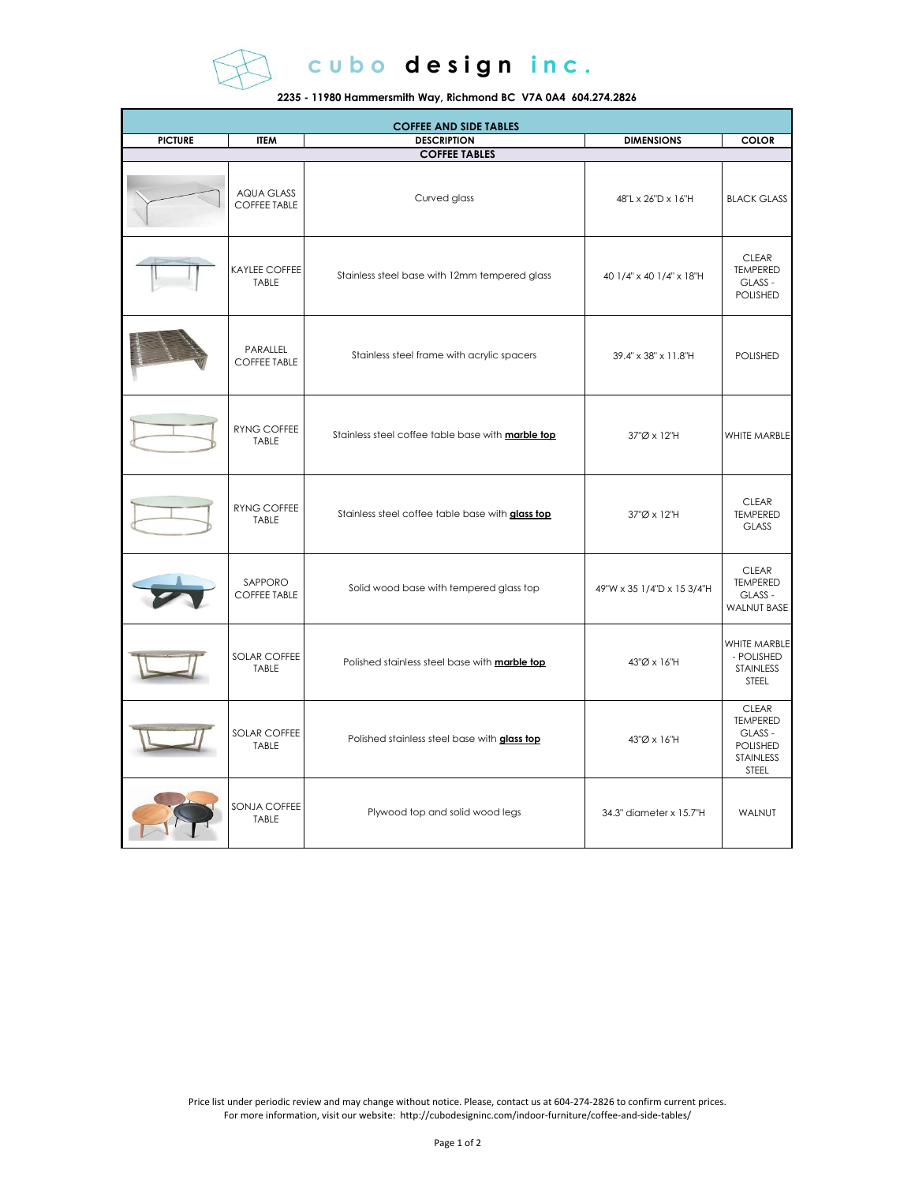

cubo design inc.

**2235 - 11980 Hammersmith Way, Richmond BC V7A 0A4 604.274.2826**

| <b>COFFEE AND SIDE TABLES</b> |                                          |                                                          |                            |                                                                                     |  |  |  |
|-------------------------------|------------------------------------------|----------------------------------------------------------|----------------------------|-------------------------------------------------------------------------------------|--|--|--|
| <b>PICTURE</b>                | <b>ITEM</b>                              | <b>DESCRIPTION</b>                                       | <b>DIMENSIONS</b>          | <b>COLOR</b>                                                                        |  |  |  |
|                               |                                          | <b>COFFEE TABLES</b>                                     |                            |                                                                                     |  |  |  |
|                               | <b>AQUA GLASS</b><br><b>COFFEE TABLE</b> | Curved glass                                             | 48"L x 26"D x 16"H         | <b>BLACK GLASS</b>                                                                  |  |  |  |
|                               | <b>KAYLEE COFFEE</b><br>TABLE            | Stainless steel base with 12mm tempered glass            | 40 1/4" x 40 1/4" x 18"H   | <b>CLEAR</b><br><b>TEMPERED</b><br>GLASS -<br><b>POLISHED</b>                       |  |  |  |
|                               | PARALLEL<br><b>COFFEE TABLE</b>          | Stainless steel frame with acrylic spacers               | 39.4" x 38" x 11.8"H       | <b>POLISHED</b>                                                                     |  |  |  |
|                               | RYNG COFFEE<br>TABLE                     | Stainless steel coffee table base with <b>marble top</b> | 37"Ø x 12"H                | WHITE MARBLE                                                                        |  |  |  |
|                               | <b>RYNG COFFEE</b><br>TABLE              | Stainless steel coffee table base with glass top         | 37"Ø x 12"H                | <b>CLEAR</b><br><b>TEMPERED</b><br><b>GLASS</b>                                     |  |  |  |
|                               | SAPPORO<br><b>COFFEE TABLE</b>           | Solid wood base with tempered glass top                  | 49"W x 35 1/4"D x 15 3/4"H | <b>CLEAR</b><br><b>TEMPERED</b><br>GLASS -<br><b>WALNUT BASE</b>                    |  |  |  |
|                               | SOLAR COFFEE<br><b>TABLE</b>             | Polished stainless steel base with <b>marble top</b>     | 43"Ø x 16"H                | WHITE MARBLE<br>- POLISHED<br>STAINLESS<br><b>STEEL</b>                             |  |  |  |
|                               | SOLAR COFFEE<br>TABLE                    | Polished stainless steel base with glass top             | 43"Ø x 16"H                | <b>CLEAR</b><br><b>TEMPERED</b><br>GLASS -<br><b>POLISHED</b><br>STAINLESS<br>STEEL |  |  |  |
|                               | SONJA COFFEE<br>TABLE                    | Plywood top and solid wood legs                          | 34.3" diameter x 15.7"H    | WALNUT                                                                              |  |  |  |

Price list under periodic review and may change without notice. Please, contact us at 604-274-2826 to confirm current prices. For more information, visit our website: http://cubodesigninc.com/indoor-furniture/coffee-and-side-tables/